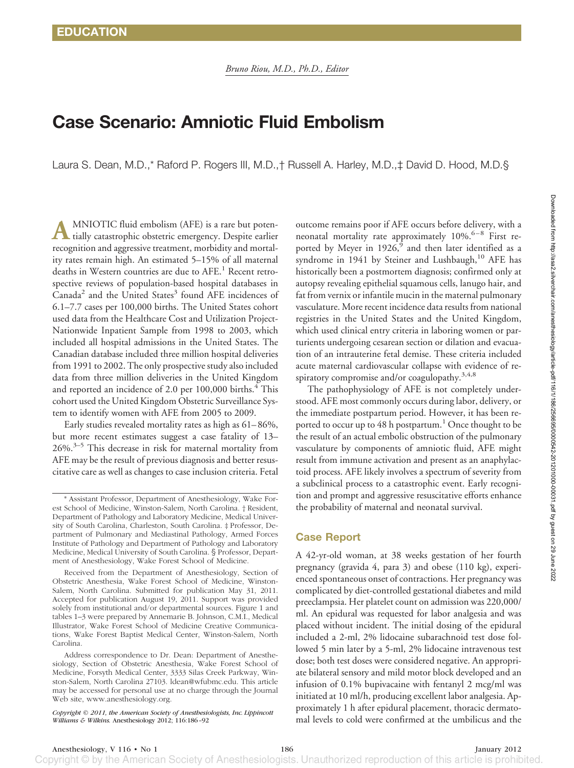# **Case Scenario: Amniotic Fluid Embolism**

Laura S. Dean, M.D.,\* Raford P. Rogers III, M.D.,† Russell A. Harley, M.D.,‡ David D. Hood, M.D.§

**A** MNIOTIC fluid embolism (AFE) is a rare but potentially catastrophic obstetric emergency. Despite earlier recognition and aggressive treatment, morbidity and mortality rates remain high. An estimated 5–15% of all maternal deaths in Western countries are due to AFE.<sup>1</sup> Recent retrospective reviews of population-based hospital databases in  $Canada<sup>2</sup>$  and the United States<sup>3</sup> found AFE incidences of 6.1–7.7 cases per 100,000 births. The United States cohort used data from the Healthcare Cost and Utilization Project-Nationwide Inpatient Sample from 1998 to 2003, which included all hospital admissions in the United States. The Canadian database included three million hospital deliveries from 1991 to 2002. The only prospective study also included data from three million deliveries in the United Kingdom and reported an incidence of  $2.0$  per  $100,000$  births. $4$  This cohort used the United Kingdom Obstetric Surveillance System to identify women with AFE from 2005 to 2009.

Early studies revealed mortality rates as high as 61– 86%, but more recent estimates suggest a case fatality of 13–  $26\%$ <sup>3–5</sup> This decrease in risk for maternal mortality from AFE may be the result of previous diagnosis and better resuscitative care as well as changes to case inclusion criteria. Fetal

Received from the Department of Anesthesiology, Section of Obstetric Anesthesia, Wake Forest School of Medicine, Winston-Salem, North Carolina. Submitted for publication May 31, 2011. Accepted for publication August 19, 2011. Support was provided solely from institutional and/or departmental sources. Figure 1 and tables 1–3 were prepared by Annemarie B. Johnson, C.M.I., Medical Illustrator, Wake Forest School of Medicine Creative Communications, Wake Forest Baptist Medical Center, Winston-Salem, North Carolina.

Address correspondence to Dr. Dean: Department of Anesthesiology, Section of Obstetric Anesthesia, Wake Forest School of Medicine, Forsyth Medical Center, 3333 Silas Creek Parkway, Winston-Salem, North Carolina 27103. ldean@wfubmc.edu. This article may be accessed for personal use at no charge through the Journal Web site, [www.anesthesiology.org.](www.anesthesiology.org)

*Copyright © 2011, the American Society of Anesthesiologists, Inc. Lippincott Williams & Wilkins.* Anesthesiology 2012; 116:186 –92

outcome remains poor if AFE occurs before delivery, with a neonatal mortality rate approximately  $10\%$ .<sup>6–8</sup> First reported by Meyer in  $1926$ , and then later identified as a syndrome in 1941 by Steiner and Lushbaugh,<sup>10</sup> AFE has historically been a postmortem diagnosis; confirmed only at autopsy revealing epithelial squamous cells, lanugo hair, and fat from vernix or infantile mucin in the maternal pulmonary vasculature. More recent incidence data results from national registries in the United States and the United Kingdom, which used clinical entry criteria in laboring women or parturients undergoing cesarean section or dilation and evacuation of an intrauterine fetal demise. These criteria included acute maternal cardiovascular collapse with evidence of respiratory compromise and/or coagulopathy.<sup>3,4,8</sup>

The pathophysiology of AFE is not completely understood. AFE most commonly occurs during labor, delivery, or the immediate postpartum period. However, it has been reported to occur up to 48 h postpartum.<sup>1</sup> Once thought to be the result of an actual embolic obstruction of the pulmonary vasculature by components of amniotic fluid, AFE might result from immune activation and present as an anaphylactoid process. AFE likely involves a spectrum of severity from a subclinical process to a catastrophic event. Early recognition and prompt and aggressive resuscitative efforts enhance the probability of maternal and neonatal survival.

## **Case Report**

A 42-yr-old woman, at 38 weeks gestation of her fourth pregnancy (gravida 4, para 3) and obese (110 kg), experienced spontaneous onset of contractions. Her pregnancy was complicated by diet-controlled gestational diabetes and mild preeclampsia. Her platelet count on admission was 220,000/ ml. An epidural was requested for labor analgesia and was placed without incident. The initial dosing of the epidural included a 2-ml, 2% lidocaine subarachnoid test dose followed 5 min later by a 5-ml, 2% lidocaine intravenous test dose; both test doses were considered negative. An appropriate bilateral sensory and mild motor block developed and an infusion of 0.1% bupivacaine with fentanyl 2 mcg/ml was initiated at 10 ml/h, producing excellent labor analgesia. Approximately 1 h after epidural placement, thoracic dermatomal levels to cold were confirmed at the umbilicus and the

<sup>\*</sup> Assistant Professor, Department of Anesthesiology, Wake Forest School of Medicine, Winston-Salem, North Carolina. † Resident, Department of Pathology and Laboratory Medicine, Medical University of South Carolina, Charleston, South Carolina. ‡ Professor, Department of Pulmonary and Mediastinal Pathology, Armed Forces Institute of Pathology and Department of Pathology and Laboratory Medicine, Medical University of South Carolina. § Professor, Department of Anesthesiology, Wake Forest School of Medicine.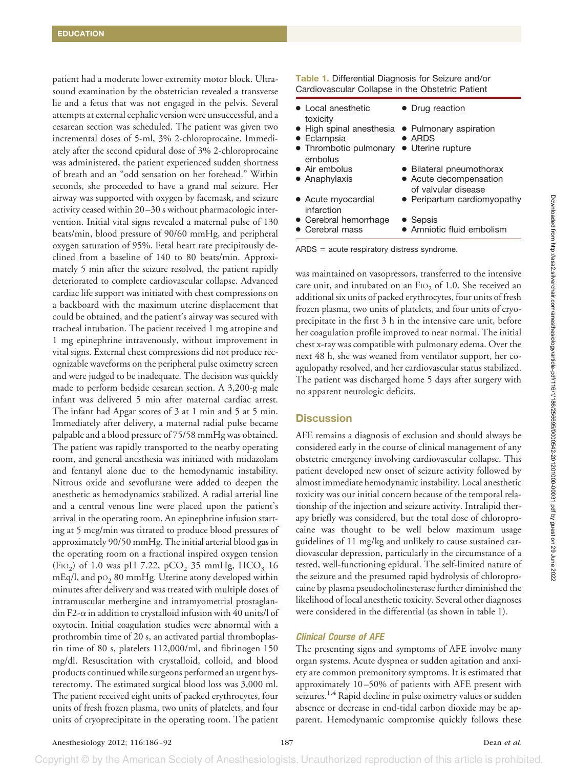patient had a moderate lower extremity motor block. Ultrasound examination by the obstetrician revealed a transverse lie and a fetus that was not engaged in the pelvis. Several attempts at external cephalic version were unsuccessful, and a cesarean section was scheduled. The patient was given two incremental doses of 5-ml, 3% 2-chloroprocaine. Immediately after the second epidural dose of 3% 2-chloroprocaine was administered, the patient experienced sudden shortness of breath and an "odd sensation on her forehead." Within seconds, she proceeded to have a grand mal seizure. Her airway was supported with oxygen by facemask, and seizure activity ceased within 20 –30 s without pharmacologic intervention. Initial vital signs revealed a maternal pulse of 130 beats/min, blood pressure of 90/60 mmHg, and peripheral oxygen saturation of 95%. Fetal heart rate precipitously declined from a baseline of 140 to 80 beats/min. Approximately 5 min after the seizure resolved, the patient rapidly deteriorated to complete cardiovascular collapse. Advanced cardiac life support was initiated with chest compressions on a backboard with the maximum uterine displacement that could be obtained, and the patient's airway was secured with tracheal intubation. The patient received 1 mg atropine and 1 mg epinephrine intravenously, without improvement in vital signs. External chest compressions did not produce recognizable waveforms on the peripheral pulse oximetry screen and were judged to be inadequate. The decision was quickly made to perform bedside cesarean section. A 3,200-g male infant was delivered 5 min after maternal cardiac arrest. The infant had Apgar scores of 3 at 1 min and 5 at 5 min. Immediately after delivery, a maternal radial pulse became palpable and a blood pressure of 75/58 mmHg was obtained. The patient was rapidly transported to the nearby operating room, and general anesthesia was initiated with midazolam and fentanyl alone due to the hemodynamic instability. Nitrous oxide and sevoflurane were added to deepen the anesthetic as hemodynamics stabilized. A radial arterial line and a central venous line were placed upon the patient's arrival in the operating room. An epinephrine infusion starting at 5 mcg/min was titrated to produce blood pressures of approximately 90/50 mmHg. The initial arterial blood gas in the operating room on a fractional inspired oxygen tension (FIO<sub>2</sub>) of 1.0 was pH 7.22, pCO<sub>2</sub> 35 mmHg, HCO<sub>3</sub> 16  $mEq/l$ , and  $po<sub>2</sub> 80$  mmHg. Uterine atony developed within minutes after delivery and was treated with multiple doses of intramuscular methergine and intramyometrial prostaglandin F2- $\alpha$  in addition to crystalloid infusion with 40 units/l of oxytocin. Initial coagulation studies were abnormal with a prothrombin time of 20 s, an activated partial thromboplastin time of 80 s, platelets 112,000/ml, and fibrinogen 150 mg/dl. Resuscitation with crystalloid, colloid, and blood products continued while surgeons performed an urgent hysterectomy. The estimated surgical blood loss was 3,000 ml. The patient received eight units of packed erythrocytes, four units of fresh frozen plasma, two units of platelets, and four units of cryoprecipitate in the operating room. The patient **Table 1.** Differential Diagnosis for Seizure and/or Cardiovascular Collapse in the Obstetric Patient

| • Local anesthetic                                                                 | • Drug reaction                               |
|------------------------------------------------------------------------------------|-----------------------------------------------|
| toxicity<br>• High spinal anesthesia • Pulmonary aspiration<br>$\bullet$ Eclampsia | $\bullet$ ARDS                                |
| • Thrombotic pulmonary<br>embolus                                                  | • Uterine rupture                             |
| • Air embolus                                                                      | • Bilateral pneumothorax                      |
| $\bullet$ Anaphylaxis                                                              | • Acute decompensation<br>of valvular disease |
| • Acute myocardial<br>infarction                                                   | • Peripartum cardiomyopathy                   |
| • Cerebral hemorrhage                                                              | • Sepsis                                      |
| • Cerebral mass                                                                    | • Amniotic fluid embolism                     |

 $ARDS = acute$  respiratory distress syndrome.

was maintained on vasopressors, transferred to the intensive care unit, and intubated on an  $F1O<sub>2</sub>$  of 1.0. She received an additional six units of packed erythrocytes, four units of fresh frozen plasma, two units of platelets, and four units of cryoprecipitate in the first 3 h in the intensive care unit, before her coagulation profile improved to near normal. The initial chest x-ray was compatible with pulmonary edema. Over the next 48 h, she was weaned from ventilator support, her coagulopathy resolved, and her cardiovascular status stabilized. The patient was discharged home 5 days after surgery with no apparent neurologic deficits.

## **Discussion**

AFE remains a diagnosis of exclusion and should always be considered early in the course of clinical management of any obstetric emergency involving cardiovascular collapse. This patient developed new onset of seizure activity followed by almost immediate hemodynamic instability. Local anesthetic toxicity was our initial concern because of the temporal relationship of the injection and seizure activity. Intralipid therapy briefly was considered, but the total dose of chloroprocaine was thought to be well below maximum usage guidelines of 11 mg/kg and unlikely to cause sustained cardiovascular depression, particularly in the circumstance of a tested, well-functioning epidural. The self-limited nature of the seizure and the presumed rapid hydrolysis of chloroprocaine by plasma pseudocholinesterase further diminished the likelihood of local anesthetic toxicity. Several other diagnoses were considered in the differential (as shown in table 1).

## *Clinical Course of AFE*

The presenting signs and symptoms of AFE involve many organ systems. Acute dyspnea or sudden agitation and anxiety are common premonitory symptoms. It is estimated that approximately 10 –50% of patients with AFE present with seizures.<sup>1,4</sup> Rapid decline in pulse oximetry values or sudden absence or decrease in end-tidal carbon dioxide may be apparent. Hemodynamic compromise quickly follows these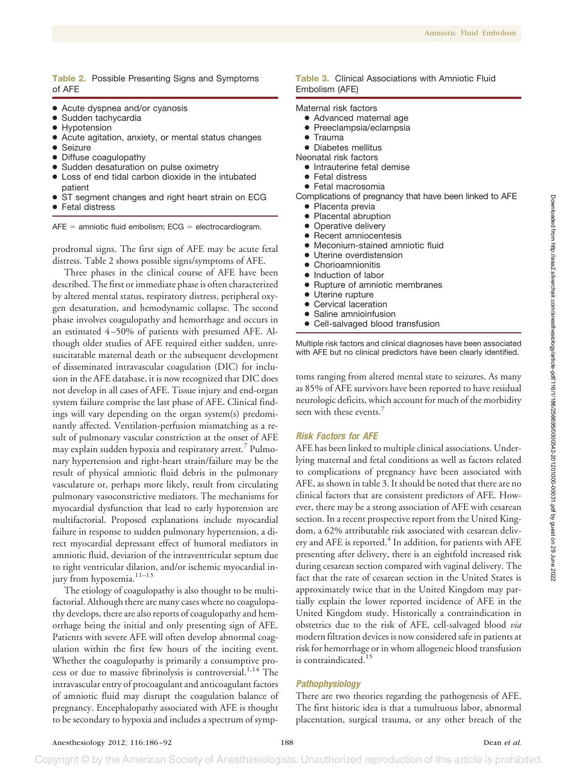## **Table 2.** Possible Presenting Signs and Symptoms of AFE

- Acute dyspnea and/or cyanosis
- Sudden tachycardia
- Hypotension
- Acute agitation, anxiety, or mental status changes
- **Seizure**
- Diffuse coagulopathy
- Sudden desaturation on pulse oximetry
- Loss of end tidal carbon dioxide in the intubated patient
- ST segment changes and right heart strain on ECG
- **Fetal distress**

 $AFE =$  amniotic fluid embolism;  $ECG =$  electrocardiogram.

prodromal signs. The first sign of AFE may be acute fetal distress. Table 2 shows possible signs/symptoms of AFE.

Three phases in the clinical course of AFE have been described. The first or immediate phase is often characterized by altered mental status, respiratory distress, peripheral oxygen desaturation, and hemodynamic collapse. The second phase involves coagulopathy and hemorrhage and occurs in an estimated 4 –50% of patients with presumed AFE. Although older studies of AFE required either sudden, unresuscitatable maternal death or the subsequent development of disseminated intravascular coagulation (DIC) for inclusion in the AFE database, it is now recognized that DIC does not develop in all cases of AFE. Tissue injury and end-organ system failure comprise the last phase of AFE. Clinical findings will vary depending on the organ system(s) predominantly affected. Ventilation-perfusion mismatching as a result of pulmonary vascular constriction at the onset of AFE may explain sudden hypoxia and respiratory arrest.7 Pulmonary hypertension and right-heart strain/failure may be the result of physical amniotic fluid debris in the pulmonary vasculature or, perhaps more likely, result from circulating pulmonary vasoconstrictive mediators. The mechanisms for myocardial dysfunction that lead to early hypotension are multifactorial. Proposed explanations include myocardial failure in response to sudden pulmonary hypertension, a direct myocardial depressant effect of humoral mediators in amniotic fluid, deviation of the intraventricular septum due to right ventricular dilation, and/or ischemic myocardial injury from hypoxemia. $^{\rm 11-13}$ 

The etiology of coagulopathy is also thought to be multifactorial. Although there are many cases where no coagulopathy develops, there are also reports of coagulopathy and hemorrhage being the initial and only presenting sign of AFE. Patients with severe AFE will often develop abnormal coagulation within the first few hours of the inciting event. Whether the coagulopathy is primarily a consumptive process or due to massive fibrinolysis is controversial.<sup>1,14</sup> The intravascular entry of procoagulant and anticoagulant factors of amniotic fluid may disrupt the coagulation balance of pregnancy. Encephalopathy associated with AFE is thought to be secondary to hypoxia and includes a spectrum of symp-

### **Table 3.** Clinical Associations with Amniotic Fluid Embolism (AFE)

## Maternal risk factors

- Advanced maternal age
- Preeclampsia/eclampsia
- Trauma
- Diabetes mellitus
- Neonatal risk factors
	- Intrauterine fetal demise
	- Fetal distress
	- Fetal macrosomia
- Complications of pregnancy that have been linked to AFE
	- Placenta previa
	- Placental abruption
	- Operative delivery
	- Recent amniocentesis
	- Meconium-stained amniotic fluid
	- Uterine overdistension
	- Chorioamnionitis
	- Induction of labor
	- Rupture of amniotic membranes
	- Uterine rupture
	- Cervical laceration
	- Saline amnioinfusion
	- Cell-salvaged blood transfusion

Multiple risk factors and clinical diagnoses have been associated with AFE but no clinical predictors have been clearly identified.

toms ranging from altered mental state to seizures. As many as 85% of AFE survivors have been reported to have residual neurologic deficits, which account for much of the morbidity seen with these events.<sup>7</sup>

#### *Risk Factors for AFE*

AFE has been linked to multiple clinical associations. Underlying maternal and fetal conditions as well as factors related to complications of pregnancy have been associated with AFE, as shown in table 3. It should be noted that there are no clinical factors that are consistent predictors of AFE. However, there may be a strong association of AFE with cesarean section. In a recent prospective report from the United Kingdom, a 62% attributable risk associated with cesarean delivery and AFE is reported.<sup>4</sup> In addition, for patients with AFE presenting after delivery, there is an eightfold increased risk during cesarean section compared with vaginal delivery. The fact that the rate of cesarean section in the United States is approximately twice that in the United Kingdom may partially explain the lower reported incidence of AFE in the United Kingdom study. Historically a contraindication in obstetrics due to the risk of AFE, cell-salvaged blood *via* modern filtration devices is now considered safe in patients at risk for hemorrhage or in whom allogeneic blood transfusion is contraindicated.<sup>15</sup>

## *Pathophysiology*

There are two theories regarding the pathogenesis of AFE. The first historic idea is that a tumultuous labor, abnormal placentation, surgical trauma, or any other breach of the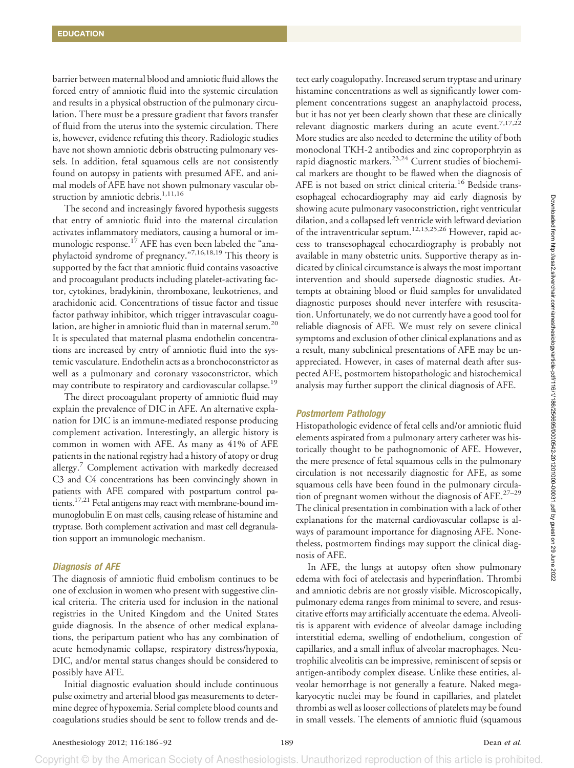barrier between maternal blood and amniotic fluid allows the forced entry of amniotic fluid into the systemic circulation and results in a physical obstruction of the pulmonary circulation. There must be a pressure gradient that favors transfer of fluid from the uterus into the systemic circulation. There is, however, evidence refuting this theory. Radiologic studies have not shown amniotic debris obstructing pulmonary vessels. In addition, fetal squamous cells are not consistently found on autopsy in patients with presumed AFE, and animal models of AFE have not shown pulmonary vascular obstruction by amniotic debris.<sup>1,11,16</sup>

The second and increasingly favored hypothesis suggests that entry of amniotic fluid into the maternal circulation activates inflammatory mediators, causing a humoral or immunologic response.<sup>17</sup> AFE has even been labeled the "anaphylactoid syndrome of pregnancy."7,16,18,19 This theory is supported by the fact that amniotic fluid contains vasoactive and procoagulant products including platelet-activating factor, cytokines, bradykinin, thromboxane, leukotrienes, and arachidonic acid. Concentrations of tissue factor and tissue factor pathway inhibitor, which trigger intravascular coagulation, are higher in amniotic fluid than in maternal serum.20 It is speculated that maternal plasma endothelin concentrations are increased by entry of amniotic fluid into the systemic vasculature. Endothelin acts as a bronchoconstrictor as well as a pulmonary and coronary vasoconstrictor, which may contribute to respiratory and cardiovascular collapse.<sup>19</sup>

The direct procoagulant property of amniotic fluid may explain the prevalence of DIC in AFE. An alternative explanation for DIC is an immune-mediated response producing complement activation. Interestingly, an allergic history is common in women with AFE. As many as 41% of AFE patients in the national registry had a history of atopy or drug allergy.<sup>7</sup> Complement activation with markedly decreased C3 and C4 concentrations has been convincingly shown in patients with AFE compared with postpartum control patients.<sup>17,21</sup> Fetal antigens may react with membrane-bound immunoglobulin E on mast cells, causing release of histamine and tryptase. Both complement activation and mast cell degranulation support an immunologic mechanism.

#### *Diagnosis of AFE*

The diagnosis of amniotic fluid embolism continues to be one of exclusion in women who present with suggestive clinical criteria. The criteria used for inclusion in the national registries in the United Kingdom and the United States guide diagnosis. In the absence of other medical explanations, the peripartum patient who has any combination of acute hemodynamic collapse, respiratory distress/hypoxia, DIC, and/or mental status changes should be considered to possibly have AFE.

Initial diagnostic evaluation should include continuous pulse oximetry and arterial blood gas measurements to determine degree of hypoxemia. Serial complete blood counts and coagulations studies should be sent to follow trends and de-

tect early coagulopathy. Increased serum tryptase and urinary histamine concentrations as well as significantly lower complement concentrations suggest an anaphylactoid process, but it has not yet been clearly shown that these are clinically relevant diagnostic markers during an acute event.<sup>7,17,22</sup> More studies are also needed to determine the utility of both monoclonal TKH-2 antibodies and zinc coproporphryin as rapid diagnostic markers.<sup>23,24</sup> Current studies of biochemical markers are thought to be flawed when the diagnosis of AFE is not based on strict clinical criteria.<sup>16</sup> Bedside transesophageal echocardiography may aid early diagnosis by showing acute pulmonary vasoconstriction, right ventricular dilation, and a collapsed left ventricle with leftward deviation of the intraventricular septum.12,13,25,26 However, rapid access to transesophageal echocardiography is probably not available in many obstetric units. Supportive therapy as indicated by clinical circumstance is always the most important intervention and should supersede diagnostic studies. Attempts at obtaining blood or fluid samples for unvalidated diagnostic purposes should never interfere with resuscitation. Unfortunately, we do not currently have a good tool for reliable diagnosis of AFE. We must rely on severe clinical symptoms and exclusion of other clinical explanations and as a result, many subclinical presentations of AFE may be unappreciated. However, in cases of maternal death after suspected AFE, postmortem histopathologic and histochemical analysis may further support the clinical diagnosis of AFE.

#### *Postmortem Pathology*

Histopathologic evidence of fetal cells and/or amniotic fluid elements aspirated from a pulmonary artery catheter was historically thought to be pathognomonic of AFE. However, the mere presence of fetal squamous cells in the pulmonary circulation is not necessarily diagnostic for AFE, as some squamous cells have been found in the pulmonary circulation of pregnant women without the diagnosis of AFE.<sup>27-29</sup> The clinical presentation in combination with a lack of other explanations for the maternal cardiovascular collapse is always of paramount importance for diagnosing AFE. Nonetheless, postmortem findings may support the clinical diagnosis of AFE.

In AFE, the lungs at autopsy often show pulmonary edema with foci of atelectasis and hyperinflation. Thrombi and amniotic debris are not grossly visible. Microscopically, pulmonary edema ranges from minimal to severe, and resuscitative efforts may artificially accentuate the edema. Alveolitis is apparent with evidence of alveolar damage including interstitial edema, swelling of endothelium, congestion of capillaries, and a small influx of alveolar macrophages. Neutrophilic alveolitis can be impressive, reminiscent of sepsis or antigen-antibody complex disease. Unlike these entities, alveolar hemorrhage is not generally a feature. Naked megakaryocytic nuclei may be found in capillaries, and platelet thrombi as well as looser collections of platelets may be found in small vessels. The elements of amniotic fluid (squamous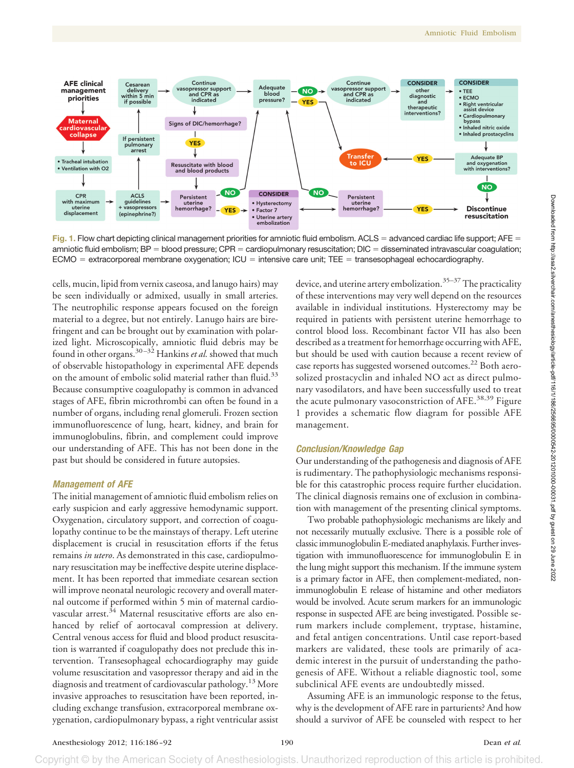

**Fig. 1.** Flow chart depicting clinical management priorities for amniotic fluid embolism. ACLS = advanced cardiac life support; AFE = amniotic fluid embolism;  $BP =$  blood pressure;  $CPR =$  cardiopulmonary resuscitation;  $DIC =$  disseminated intravascular coagulation;  $ECMO =$  extracorporeal membrane oxygenation;  $ICU =$  intensive care unit; TEE = transesophageal echocardiography.

cells, mucin, lipid from vernix caseosa, and lanugo hairs) may be seen individually or admixed, usually in small arteries. The neutrophilic response appears focused on the foreign material to a degree, but not entirely. Lanugo hairs are birefringent and can be brought out by examination with polarized light. Microscopically, amniotic fluid debris may be found in other organs.30 –32 Hankins *et al.* showed that much of observable histopathology in experimental AFE depends on the amount of embolic solid material rather than fluid.<sup>33</sup> Because consumptive coagulopathy is common in advanced stages of AFE, fibrin microthrombi can often be found in a number of organs, including renal glomeruli. Frozen section immunofluorescence of lung, heart, kidney, and brain for immunoglobulins, fibrin, and complement could improve our understanding of AFE. This has not been done in the past but should be considered in future autopsies.

## *Management of AFE*

The initial management of amniotic fluid embolism relies on early suspicion and early aggressive hemodynamic support. Oxygenation, circulatory support, and correction of coagulopathy continue to be the mainstays of therapy. Left uterine displacement is crucial in resuscitation efforts if the fetus remains *in utero*. As demonstrated in this case, cardiopulmonary resuscitation may be ineffective despite uterine displacement. It has been reported that immediate cesarean section will improve neonatal neurologic recovery and overall maternal outcome if performed within 5 min of maternal cardiovascular arrest.<sup>34</sup> Maternal resuscitative efforts are also enhanced by relief of aortocaval compression at delivery. Central venous access for fluid and blood product resuscitation is warranted if coagulopathy does not preclude this intervention. Transesophageal echocardiography may guide volume resuscitation and vasopressor therapy and aid in the diagnosis and treatment of cardiovascular pathology.13 More invasive approaches to resuscitation have been reported, including exchange transfusion, extracorporeal membrane oxygenation, cardiopulmonary bypass, a right ventricular assist

device, and uterine artery embolization.<sup>35-37</sup> The practicality of these interventions may very well depend on the resources available in individual institutions. Hysterectomy may be required in patients with persistent uterine hemorrhage to control blood loss. Recombinant factor VII has also been described as a treatment for hemorrhage occurring with AFE, but should be used with caution because a recent review of case reports has suggested worsened outcomes.<sup>22</sup> Both aerosolized prostacyclin and inhaled NO act as direct pulmonary vasodilators, and have been successfully used to treat the acute pulmonary vasoconstriction of AFE.<sup>38,39</sup> Figure 1 provides a schematic flow diagram for possible AFE management.

#### *Conclusion/Knowledge Gap*

Our understanding of the pathogenesis and diagnosis of AFE is rudimentary. The pathophysiologic mechanisms responsible for this catastrophic process require further elucidation. The clinical diagnosis remains one of exclusion in combination with management of the presenting clinical symptoms.

Two probable pathophysiologic mechanisms are likely and not necessarily mutually exclusive. There is a possible role of classic immunoglobulin E-mediated anaphylaxis. Further investigation with immunofluorescence for immunoglobulin E in the lung might support this mechanism. If the immune system is a primary factor in AFE, then complement-mediated, nonimmunoglobulin E release of histamine and other mediators would be involved. Acute serum markers for an immunologic response in suspected AFE are being investigated. Possible serum markers include complement, tryptase, histamine, and fetal antigen concentrations. Until case report-based markers are validated, these tools are primarily of academic interest in the pursuit of understanding the pathogenesis of AFE. Without a reliable diagnostic tool, some subclinical AFE events are undoubtedly missed.

Assuming AFE is an immunologic response to the fetus, why is the development of AFE rare in parturients? And how should a survivor of AFE be counseled with respect to her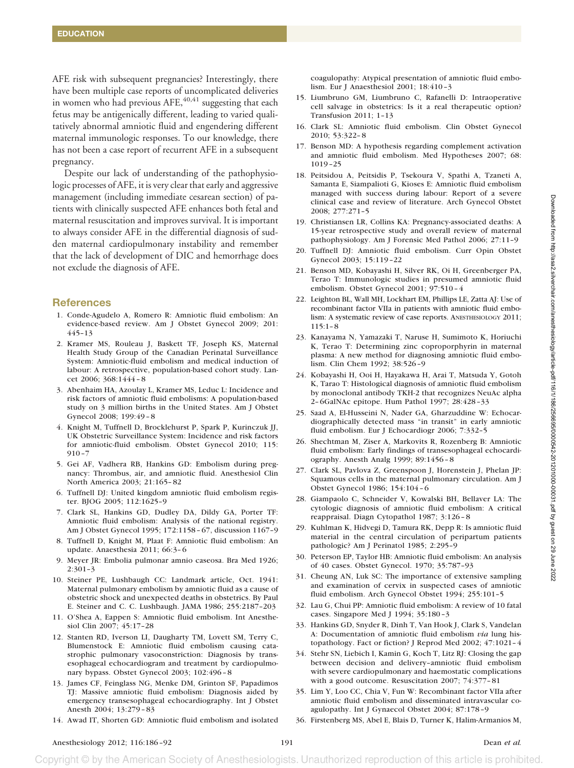AFE risk with subsequent pregnancies? Interestingly, there have been multiple case reports of uncomplicated deliveries in women who had previous  $AFE$ ,<sup>40,41</sup> suggesting that each fetus may be antigenically different, leading to varied qualitatively abnormal amniotic fluid and engendering different maternal immunologic responses. To our knowledge, there has not been a case report of recurrent AFE in a subsequent pregnancy.

Despite our lack of understanding of the pathophysiologic processes of AFE, it is very clear that early and aggressive management (including immediate cesarean section) of patients with clinically suspected AFE enhances both fetal and maternal resuscitation and improves survival. It is important to always consider AFE in the differential diagnosis of sudden maternal cardiopulmonary instability and remember that the lack of development of DIC and hemorrhage does not exclude the diagnosis of AFE.

#### **References**

- 1. Conde-Agudelo A, Romero R: Amniotic fluid embolism: An evidence-based review. Am J Obstet Gynecol 2009; 201: 445–13
- 2. Kramer MS, Rouleau J, Baskett TF, Joseph KS, Maternal Health Study Group of the Canadian Perinatal Surveillance System: Amniotic-fluid embolism and medical induction of labour: A retrospective, population-based cohort study. Lancet 2006; 368:1444 – 8
- 3. Abenhaim HA, Azoulay L, Kramer MS, Leduc L: Incidence and risk factors of amniotic fluid embolisms: A population-based study on 3 million births in the United States. Am J Obstet Gynecol 2008; 199:49 – 8
- 4. Knight M, Tuffnell D, Brocklehurst P, Spark P, Kurinczuk JJ, UK Obstetric Surveillance System: Incidence and risk factors for amniotic-fluid embolism. Obstet Gynecol 2010; 115:  $910 - 7$
- 5. Gei AF, Vadhera RB, Hankins GD: Embolism during pregnancy: Thrombus, air, and amniotic fluid. Anesthesiol Clin North America 2003; 21:165– 82
- 6. Tuffnell DJ: United kingdom amniotic fluid embolism register. BJOG 2005; 112:1625–9
- 7. Clark SL, Hankins GD, Dudley DA, Dildy GA, Porter TF: Amniotic fluid embolism: Analysis of the national registry. Am J Obstet Gynecol 1995; 172:1158 – 67, discussion 1167–9
- 8. Tuffnell D, Knight M, Plaat F: Amniotic fluid embolism: An update. Anaesthesia 2011; 66:3– 6
- 9. Meyer JR: Embolia pulmonar amnio caseosa. Bra Med 1926; 2:301–3
- 10. Steiner PE, Lushbaugh CC: Landmark article, Oct. 1941: Maternal pulmonary embolism by amniotic fluid as a cause of obstetric shock and unexpected deaths in obstetrics. By Paul E. Steiner and C. C. Lushbaugh. JAMA 1986; 255:2187–203
- 11. O'Shea A, Eappen S: Amniotic fluid embolism. Int Anesthesiol Clin 2007; 45:17–28
- 12. Stanten RD, Iverson LI, Daugharty TM, Lovett SM, Terry C, Blumenstock E: Amniotic fluid embolism causing catastrophic pulmonary vasoconstriction: Diagnosis by transesophageal echocardiogram and treatment by cardiopulmonary bypass. Obstet Gynecol 2003; 102:496 – 8
- 13. James CF, Feinglass NG, Menke DM, Grinton SF, Papadimos TJ: Massive amniotic fluid embolism: Diagnosis aided by emergency transesophageal echocardiography. Int J Obstet Anesth 2004; 13:279 – 83
- 14. Awad IT, Shorten GD: Amniotic fluid embolism and isolated

coagulopathy: Atypical presentation of amniotic fluid embolism. Eur J Anaesthesiol 2001; 18:410 –3

- 15. Liumbruno GM, Liumbruno C, Rafanelli D: Intraoperative cell salvage in obstetrics: Is it a real therapeutic option? Transfusion 2011; 1–13
- 16. Clark SL: Amniotic fluid embolism. Clin Obstet Gynecol 2010; 53:322– 8
- 17. Benson MD: A hypothesis regarding complement activation and amniotic fluid embolism. Med Hypotheses 2007; 68: 1019 –25
- 18. Peitsidou A, Peitsidis P, Tsekoura V, Spathi A, Tzaneti A, Samanta E, Siampalioti G, Kioses E: Amniotic fluid embolism managed with success during labour: Report of a severe clinical case and review of literature. Arch Gynecol Obstet 2008; 277:271–5
- 19. Christiansen LR, Collins KA: Pregnancy-associated deaths: A 15-year retrospective study and overall review of maternal pathophysiology. Am J Forensic Med Pathol 2006; 27:11–9
- 20. Tuffnell DJ: Amniotic fluid embolism. Curr Opin Obstet Gynecol 2003; 15:119 –22
- 21. Benson MD, Kobayashi H, Silver RK, Oi H, Greenberger PA, Terao T: Immunologic studies in presumed amniotic fluid embolism. Obstet Gynecol 2001; 97:510 – 4
- 22. Leighton BL, Wall MH, Lockhart EM, Phillips LE, Zatta AJ: Use of recombinant factor VIIa in patients with amniotic fluid embolism: A systematic review of case reports. ANESTHESIOLOGY 2011; 115:1– 8
- 23. Kanayama N, Yamazaki T, Naruse H, Sumimoto K, Horiuchi K, Terao T: Determining zinc coproporphyrin in maternal plasma: A new method for diagnosing amniotic fluid embolism. Clin Chem 1992; 38:526 –9
- 24. Kobayashi H, Ooi H, Hayakawa H, Arai T, Matsuda Y, Gotoh K, Tarao T: Histological diagnosis of amniotic fluid embolism by monoclonal antibody TKH-2 that recognizes NeuAc alpha 2– 6GalNAc epitope. Hum Pathol 1997; 28:428 –33
- 25. Saad A, El-Husseini N, Nader GA, Gharzuddine W: Echocardiographically detected mass "in transit" in early amniotic fluid embolism. Eur J Echocardiogr 2006; 7:332–5
- 26. Shechtman M, Ziser A, Markovits R, Rozenberg B: Amniotic fluid embolism: Early findings of transesophageal echocardiography. Anesth Analg 1999; 89:1456 – 8
- 27. Clark SL, Pavlova Z, Greenspoon J, Horenstein J, Phelan JP: Squamous cells in the maternal pulmonary circulation. Am J Obstet Gynecol 1986; 154:104 – 6
- 28. Giampaolo C, Schneider V, Kowalski BH, Bellaver LA: The cytologic diagnosis of amniotic fluid embolism: A critical reappraisal. Diagn Cytopathol 1987; 3:126 – 8
- 29. Kuhlman K, Hidvegi D, Tamura RK, Depp R: Is amniotic fluid material in the central circulation of peripartum patients pathologic? Am J Perinatol 1985; 2:295–9
- 30. Peterson EP, Taylor HB: Amniotic fluid embolism: An analysis of 40 cases. Obstet Gynecol. 1970; 35:787–93
- 31. Cheung AN, Luk SC: The importance of extensive sampling and examination of cervix in suspected cases of amniotic fluid embolism. Arch Gynecol Obstet 1994; 255:101–5
- 32. Lau G, Chui PP: Amniotic fluid embolism: A review of 10 fatal cases. Singapore Med J 1994; 35:180 –3
- 33. Hankins GD, Snyder R, Dinh T, Van Hook J, Clark S, Vandelan A: Documentation of amniotic fluid embolism *via* lung histopathology. Fact or fiction? J Reprod Med 2002; 47:1021– 4
- 34. Stehr SN, Liebich I, Kamin G, Koch T, Litz RJ: Closing the gap between decision and delivery–amniotic fluid embolism with severe cardiopulmonary and haemostatic complications with a good outcome. Resuscitation 2007; 74:377– 81
- 35. Lim Y, Loo CC, Chia V, Fun W: Recombinant factor VIIa after amniotic fluid embolism and disseminated intravascular coagulopathy. Int J Gynaecol Obstet 2004; 87:178 –9
- 36. Firstenberg MS, Abel E, Blais D, Turner K, Halim-Armanios M,